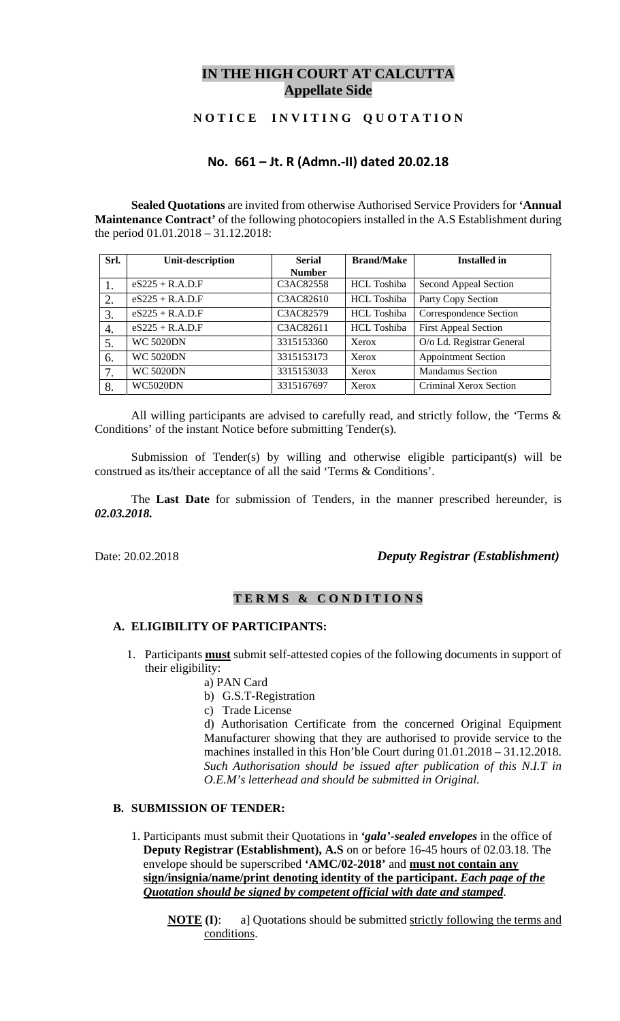# **IN THE HIGH COURT AT CALCUTTA Appellate Side**

## **N O T I C E I N V I T I N G Q U O T A T I O N**

# **No. 661 – Jt. R (Admn.‐II) dated 20.02.18**

**Sealed Quotations** are invited from otherwise Authorised Service Providers for **'Annual Maintenance Contract'** of the following photocopiers installed in the A.S Establishment during the period 01.01.2018 – 31.12.2018:

| Srl. | <b>Unit-description</b> | <b>Serial</b> | <b>Brand/Make</b>  | <b>Installed in</b>         |
|------|-------------------------|---------------|--------------------|-----------------------------|
|      |                         | <b>Number</b> |                    |                             |
|      | $eS225 + R.A.D.F$       | C3AC82558     | <b>HCL Toshiba</b> | Second Appeal Section       |
| 2.   | $eS225 + R.A.D.F$       | C3AC82610     | HCL Toshiba        | Party Copy Section          |
| 3.   | $eS225 + R.A.D.F$       | C3AC82579     | HCL Toshiba        | Correspondence Section      |
| 4.   | $eS225 + R.A.D.F$       | C3AC82611     | <b>HCL</b> Toshiba | <b>First Appeal Section</b> |
| 5.   | <b>WC 5020DN</b>        | 3315153360    | Xerox              | O/o Ld. Registrar General   |
| 6.   | <b>WC 5020DN</b>        | 3315153173    | Xerox              | <b>Appointment Section</b>  |
| 7.   | <b>WC 5020DN</b>        | 3315153033    | Xerox              | <b>Mandamus Section</b>     |
| 8.   | <b>WC5020DN</b>         | 3315167697    | Xerox              | Criminal Xerox Section      |

All willing participants are advised to carefully read, and strictly follow, the 'Terms & Conditions' of the instant Notice before submitting Tender(s).

Submission of Tender(s) by willing and otherwise eligible participant(s) will be construed as its/their acceptance of all the said 'Terms & Conditions'.

The **Last Date** for submission of Tenders, in the manner prescribed hereunder, is *02.03.2018.*

# Date: 20.02.2018 *Deputy Registrar (Establishment)*

### **T E R M S & C O N D I T I O N S**

#### **A. ELIGIBILITY OF PARTICIPANTS:**

- 1. Participants **must** submit self-attested copies of the following documents in support of their eligibility:
	- a) PAN Card
	- b) G.S.T-Registration
	- c) Trade License

d) Authorisation Certificate from the concerned Original Equipment Manufacturer showing that they are authorised to provide service to the machines installed in this Hon'ble Court during 01.01.2018 – 31.12.2018. *Such Authorisation should be issued after publication of this N.I.T in O.E.M's letterhead and should be submitted in Original.*

### **B. SUBMISSION OF TENDER:**

- 1. Participants must submit their Quotations in *'gala'-sealed envelopes* in the office of **Deputy Registrar (Establishment), A.S** on or before 16-45 hours of 02.03.18. The envelope should be superscribed **'AMC/02-2018'** and **must not contain any sign/insignia/name/print denoting identity of the participant.** *Each page of the Quotation should be signed by competent official with date and stamped*.
	- **NOTE** (I): a] Quotations should be submitted strictly following the terms and conditions.